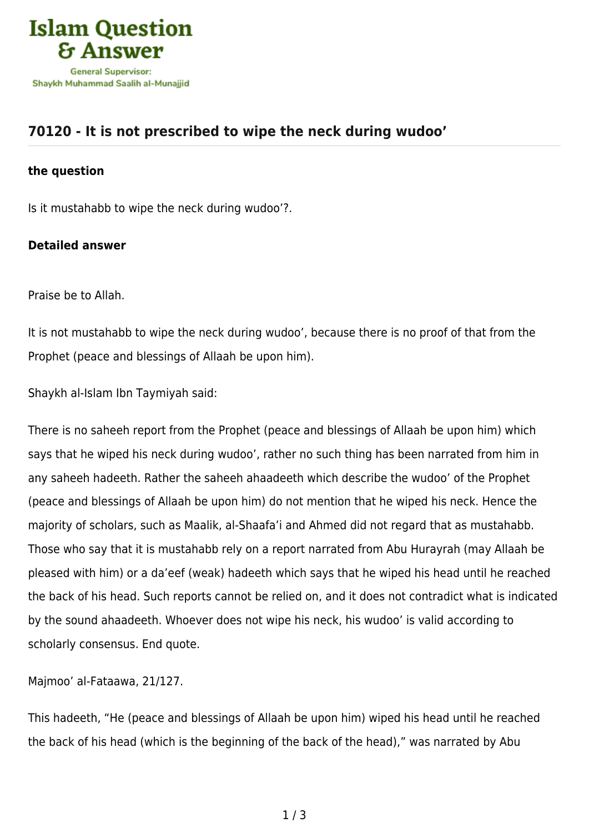

## **[70120 - It is not prescribed to wipe the neck during wudoo'](https://islamqa.info/en/answers/70120/it-is-not-prescribed-to-wipe-the-neck-during-wudoo)**

## **the question**

Is it mustahabb to wipe the neck during wudoo'?.

## **Detailed answer**

Praise be to Allah.

It is not mustahabb to wipe the neck during wudoo', because there is no proof of that from the Prophet (peace and blessings of Allaah be upon him).

Shaykh al-Islam Ibn Taymiyah said:

There is no saheeh report from the Prophet (peace and blessings of Allaah be upon him) which says that he wiped his neck during wudoo', rather no such thing has been narrated from him in any saheeh hadeeth. Rather the saheeh ahaadeeth which describe the wudoo' of the Prophet (peace and blessings of Allaah be upon him) do not mention that he wiped his neck. Hence the majority of scholars, such as Maalik, al-Shaafa'i and Ahmed did not regard that as mustahabb. Those who say that it is mustahabb rely on a report narrated from Abu Hurayrah (may Allaah be pleased with him) or a da'eef (weak) hadeeth which says that he wiped his head until he reached the back of his head. Such reports cannot be relied on, and it does not contradict what is indicated by the sound ahaadeeth. Whoever does not wipe his neck, his wudoo' is valid according to scholarly consensus. End quote.

Majmoo' al-Fataawa, 21/127.

This hadeeth, "He (peace and blessings of Allaah be upon him) wiped his head until he reached the back of his head (which is the beginning of the back of the head)," was narrated by Abu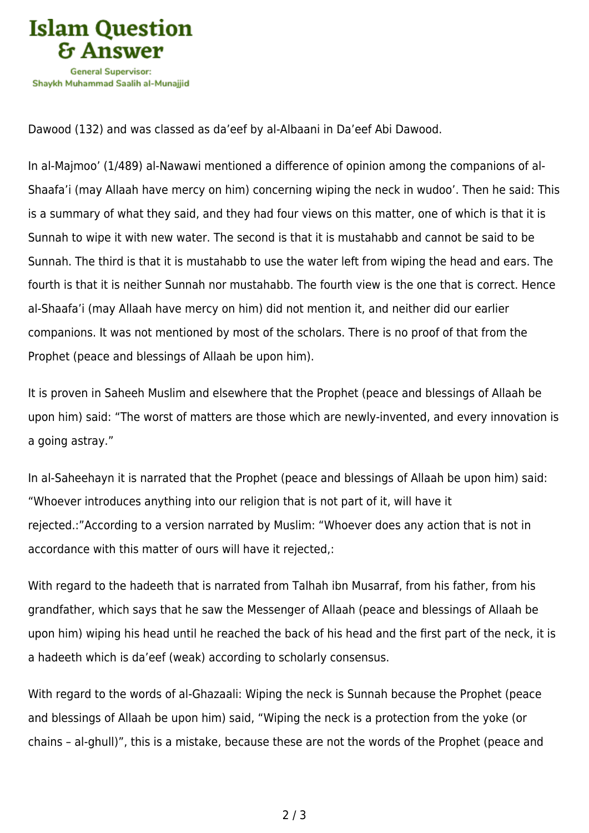

Dawood (132) and was classed as da'eef by al-Albaani in Da'eef Abi Dawood.

In al-Majmoo' (1/489) al-Nawawi mentioned a difference of opinion among the companions of al-Shaafa'i (may Allaah have mercy on him) concerning wiping the neck in wudoo'. Then he said: This is a summary of what they said, and they had four views on this matter, one of which is that it is Sunnah to wipe it with new water. The second is that it is mustahabb and cannot be said to be Sunnah. The third is that it is mustahabb to use the water left from wiping the head and ears. The fourth is that it is neither Sunnah nor mustahabb. The fourth view is the one that is correct. Hence al-Shaafa'i (may Allaah have mercy on him) did not mention it, and neither did our earlier companions. It was not mentioned by most of the scholars. There is no proof of that from the Prophet (peace and blessings of Allaah be upon him).

It is proven in Saheeh Muslim and elsewhere that the Prophet (peace and blessings of Allaah be upon him) said: "The worst of matters are those which are newly-invented, and every innovation is a going astray."

In al-Saheehayn it is narrated that the Prophet (peace and blessings of Allaah be upon him) said: "Whoever introduces anything into our religion that is not part of it, will have it rejected.:"According to a version narrated by Muslim: "Whoever does any action that is not in accordance with this matter of ours will have it rejected,:

With regard to the hadeeth that is narrated from Talhah ibn Musarraf, from his father, from his grandfather, which says that he saw the Messenger of Allaah (peace and blessings of Allaah be upon him) wiping his head until he reached the back of his head and the first part of the neck, it is a hadeeth which is da'eef (weak) according to scholarly consensus.

With regard to the words of al-Ghazaali: Wiping the neck is Sunnah because the Prophet (peace and blessings of Allaah be upon him) said, "Wiping the neck is a protection from the yoke (or chains – al-ghull)", this is a mistake, because these are not the words of the Prophet (peace and